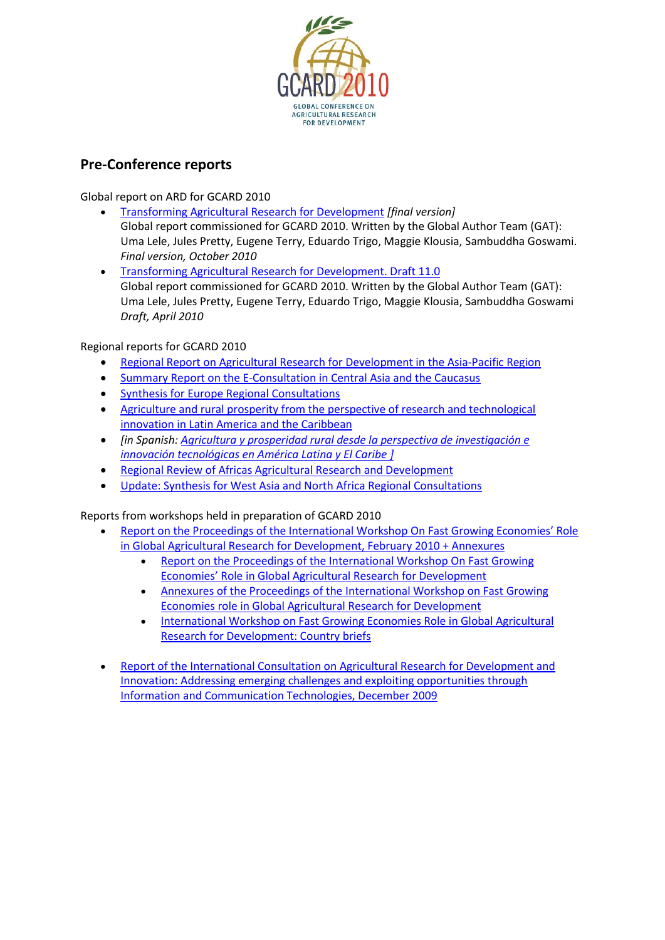

# **Pre-Conference reports**

Global report on ARD for GCARD 2010

- [Transforming Agricultural Research for Development](http://www.fao.org/docs/eims/upload/282426/GAT_Report_GCARD_2010_complete.pdf) *[final version]* Global report commissioned for GCARD 2010. Written by the Global Author Team (GAT): Uma Lele, Jules Pretty, Eugene Terry, Eduardo Trigo, Maggie Klousia, Sambuddha Goswami. *Final version, October 2010*
- [Transforming Agricultural Research for Development. Draft 11.0](http://www.fao.org/docs/eims/upload/273759/GAT%20Report%20for%20GCARD%202010%20-%20Version%2011.0.pdf) Global report commissioned for GCARD 2010. Written by the Global Author Team (GAT): Uma Lele, Jules Pretty, Eugene Terry, Eduardo Trigo, Maggie Klousia, Sambuddha Goswami *Draft, April 2010*

### Regional reports for GCARD 2010

- [Regional Report on Agricultural Research for Development in the Asia-Pacific Region](http://www.fao.org/docs/eims/upload/273513/FinalRegionalReportforAP23Feb10.pdf)
- [Summary Report on the E-Consultation in Central Asia and the Caucasus](http://www.fao.org/docs/eims/upload/272170/Summary%20Report%20on%20the%20E.pdf)
- [Synthesis for Europe Regional Consultations](http://www.fao.org/docs/eims/upload/268888/Synthesis%20for%20Europe.pdf)
- [Agriculture and rural prosperity from the perspective of research and technological](http://www.fao.org/docs/eims/upload/276851/FORAGRO_Presentation_english_f_1a.pdf)  [innovation in Latin America and the Caribbean](http://www.fao.org/docs/eims/upload/276851/FORAGRO_Presentation_english_f_1a.pdf)
- *[in Spanish: [Agricultura y prosperidad rural desde la perspectiva de investigación e](http://www.fao.org/docs/eims/upload/276870/03_FORAGRO_Presentation_spanish_f_1a.pdf)  [innovación tecnológicas en América Latina y El Caribe](http://www.fao.org/docs/eims/upload/276870/03_FORAGRO_Presentation_spanish_f_1a.pdf) ]*
- [Regional Review of Africas Agricultural Research and Development](http://www.fao.org/docs/eims/upload/270168/REGIONAL%20REVIEW%20OF%20AFRICA.pdf)
- [Update: Synthesis for West Asia and North Africa Regional Consultations](http://www.fao.org/docs/eims/upload/268896/12.%20Regional%20Synthesis%20Report%20for%20AARINENA.pdf)

Reports from workshops held in preparation of GCARD 2010

- [Report on the Proceedings of the International Workshop On Fast Growing Economies' Role](http://www.fao.org/docs/eims/upload/278566/BRICS-Report+Annexures.pdf)  [in Global Agricultural Research for Development, February 2010](http://www.fao.org/docs/eims/upload/278566/BRICS-Report+Annexures.pdf) + Annexures
	- [Report on the Proceedings of the International Workshop On Fast Growing](http://www.fao.org/docs/eims/upload/278561/BRICS-Report.pdf)  [Economies' Role in Global Agricultural Research for Development](http://www.fao.org/docs/eims/upload/278561/BRICS-Report.pdf)
	- Annexures of the Proceedings of the [International Workshop on Fast Growing](http://www.fao.org/docs/eims/upload/278564/BRICS-Report-All-Annexures.pdf)  [Economies role in Global Agricultural Research for Development](http://www.fao.org/docs/eims/upload/278564/BRICS-Report-All-Annexures.pdf)
	- [International Workshop on Fast Growing Economies Role in Global Agricultural](http://www.fao.org/docs/eims/upload/278565/BRICS-Report-Annexure4-Country-briefs.pdf)  [Research for Development: Country briefs](http://www.fao.org/docs/eims/upload/278565/BRICS-Report-Annexure4-Country-briefs.pdf)
- [Report of the International Consultation on Agricultural Research for Development and](http://www.fao.org/docs/eims/upload/276320/ICT%20Hyderabad%20Workshop%20Paper.pdf)  [Innovation: Addressing emerging challenges and exploiting opportunities through](http://www.fao.org/docs/eims/upload/276320/ICT%20Hyderabad%20Workshop%20Paper.pdf)  [Information and Communication Technologies, December 2009](http://www.fao.org/docs/eims/upload/276320/ICT%20Hyderabad%20Workshop%20Paper.pdf)